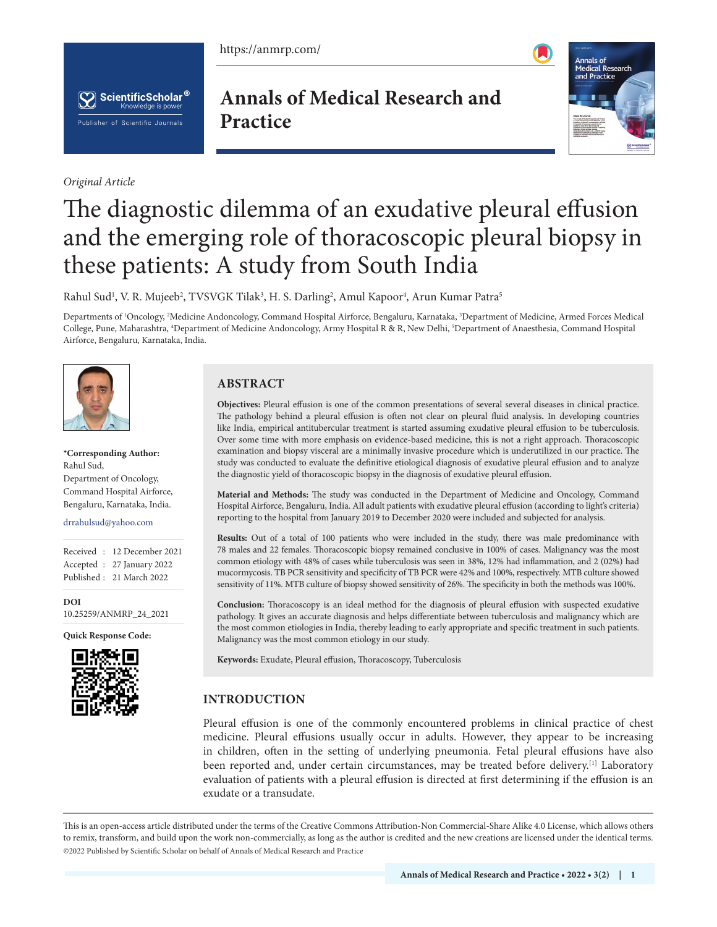https://anmrp.com/





*Original Article*

**Annals of Medical Research and Practice**



# The diagnostic dilemma of an exudative pleural effusion and the emerging role of thoracoscopic pleural biopsy in these patients: A study from South India

Rahul Sud<sup>1</sup>, V. R. Mujeeb<sup>2</sup>, TVSVGK Tilak<sup>3</sup>, H. S. Darling<sup>2</sup>, Amul Kapoor<sup>4</sup>, Arun Kumar Patra<sup>5</sup>

Departments of 'Oncology, <sup>2</sup>Medicine Andoncology, Command Hospital Airforce, Bengaluru, Karnataka, <sup>3</sup>Department of Medicine, Armed Forces Medical College, Pune, Maharashtra, 4 Department of Medicine Andoncology, Army Hospital R & R, New Delhi, 5 Department of Anaesthesia, Command Hospital Airforce, Bengaluru, Karnataka, India.



**\*Corresponding Author:** Rahul Sud, Department of Oncology, Command Hospital Airforce, Bengaluru, Karnataka, India.

#### drrahulsud@yahoo.com

Received : 12 December 2021 Accepted : 27 January 2022 Published : 21 March 2022

**DOI** [10.25259/ANMRP\\_24\\_2021](https://dx.doi.org/10.25259/ANMRP_24_2021)

**Quick Response Code:**



## **ABSTRACT**

**Objectives:** Pleural effusion is one of the common presentations of several several diseases in clinical practice. The pathology behind a pleural effusion is often not clear on pleural fluid analysis**.** In developing countries like India, empirical antitubercular treatment is started assuming exudative pleural effusion to be tuberculosis. Over some time with more emphasis on evidence-based medicine, this is not a right approach. Thoracoscopic examination and biopsy visceral are a minimally invasive procedure which is underutilized in our practice. The study was conducted to evaluate the definitive etiological diagnosis of exudative pleural effusion and to analyze the diagnostic yield of thoracoscopic biopsy in the diagnosis of exudative pleural effusion.

**Material and Methods:** The study was conducted in the Department of Medicine and Oncology, Command Hospital Airforce, Bengaluru, India. All adult patients with exudative pleural effusion (according to light's criteria) reporting to the hospital from January 2019 to December 2020 were included and subjected for analysis.

**Results:** Out of a total of 100 patients who were included in the study, there was male predominance with 78 males and 22 females. Thoracoscopic biopsy remained conclusive in 100% of cases. Malignancy was the most common etiology with 48% of cases while tuberculosis was seen in 38%, 12% had inflammation, and 2 (02%) had mucormycosis. TB PCR sensitivity and specificity of TB PCR were 42% and 100%, respectively. MTB culture showed sensitivity of 11%. MTB culture of biopsy showed sensitivity of 26%. The specificity in both the methods was 100%.

**Conclusion:** Thoracoscopy is an ideal method for the diagnosis of pleural effusion with suspected exudative pathology. It gives an accurate diagnosis and helps differentiate between tuberculosis and malignancy which are the most common etiologies in India, thereby leading to early appropriate and specific treatment in such patients. Malignancy was the most common etiology in our study.

**Keywords:** Exudate, Pleural effusion, Thoracoscopy, Tuberculosis

## **INTRODUCTION**

Pleural effusion is one of the commonly encountered problems in clinical practice of chest medicine. Pleural effusions usually occur in adults. However, they appear to be increasing in children, often in the setting of underlying pneumonia. Fetal pleural effusions have also been reported and, under certain circumstances, may be treated before delivery.<sup>[1]</sup> Laboratory evaluation of patients with a pleural effusion is directed at first determining if the effusion is an exudate or a transudate.

This is an open-access article distributed under the terms of the Creative Commons Attribution-Non Commercial-Share Alike 4.0 License, which allows others to remix, transform, and build upon the work non-commercially, as long as the author is credited and the new creations are licensed under the identical terms. ©2022 Published by Scientific Scholar on behalf of Annals of Medical Research and Practice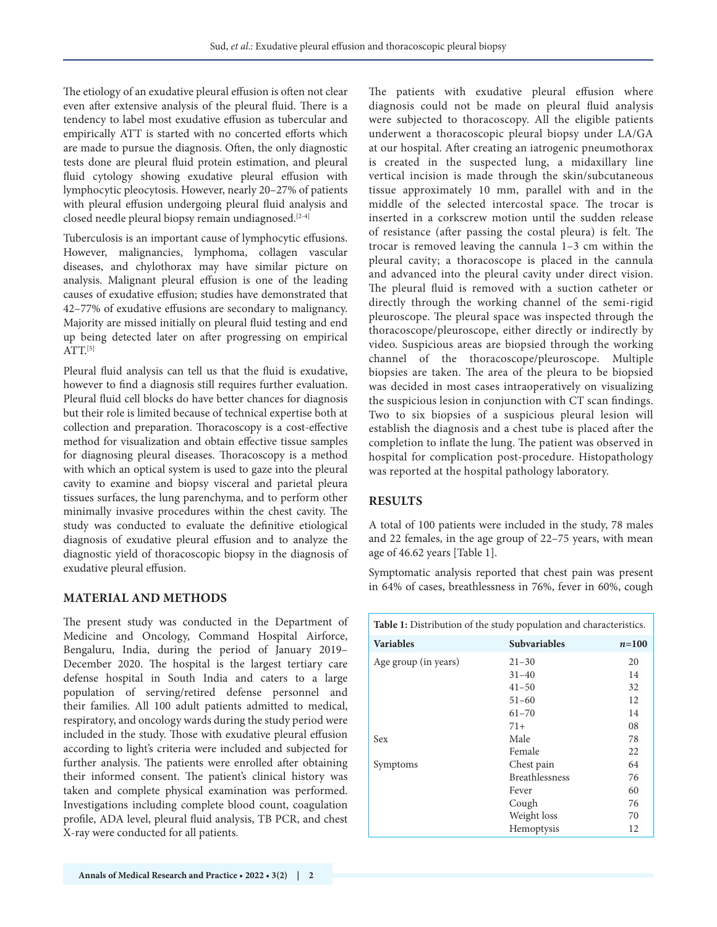The etiology of an exudative pleural effusion is often not clear even after extensive analysis of the pleural fluid. There is a tendency to label most exudative effusion as tubercular and empirically ATT is started with no concerted efforts which are made to pursue the diagnosis. Often, the only diagnostic tests done are pleural fluid protein estimation, and pleural fluid cytology showing exudative pleural effusion with lymphocytic pleocytosis. However, nearly 20–27% of patients with pleural effusion undergoing pleural fluid analysis and closed needle pleural biopsy remain undiagnosed.<sup>[2-4]</sup>

Tuberculosis is an important cause of lymphocytic effusions. However, malignancies, lymphoma, collagen vascular diseases, and chylothorax may have similar picture on analysis. Malignant pleural effusion is one of the leading causes of exudative effusion; studies have demonstrated that 42–77% of exudative effusions are secondary to malignancy. Majority are missed initially on pleural fluid testing and end up being detected later on after progressing on empirical  $ATT<sup>[5]</sup>$ 

Pleural fluid analysis can tell us that the fluid is exudative, however to find a diagnosis still requires further evaluation. Pleural fluid cell blocks do have better chances for diagnosis but their role is limited because of technical expertise both at collection and preparation. Thoracoscopy is a cost-effective method for visualization and obtain effective tissue samples for diagnosing pleural diseases. Thoracoscopy is a method with which an optical system is used to gaze into the pleural cavity to examine and biopsy visceral and parietal pleura tissues surfaces, the lung parenchyma, and to perform other minimally invasive procedures within the chest cavity. The study was conducted to evaluate the definitive etiological diagnosis of exudative pleural effusion and to analyze the diagnostic yield of thoracoscopic biopsy in the diagnosis of exudative pleural effusion.

#### **MATERIAL AND METHODS**

The present study was conducted in the Department of Medicine and Oncology, Command Hospital Airforce, Bengaluru, India, during the period of January 2019– December 2020. The hospital is the largest tertiary care defense hospital in South India and caters to a large population of serving/retired defense personnel and their families. All 100 adult patients admitted to medical, respiratory, and oncology wards during the study period were included in the study. Those with exudative pleural effusion according to light's criteria were included and subjected for further analysis. The patients were enrolled after obtaining their informed consent. The patient's clinical history was taken and complete physical examination was performed. Investigations including complete blood count, coagulation profile, ADA level, pleural fluid analysis, TB PCR, and chest X-ray were conducted for all patients.

The patients with exudative pleural effusion where diagnosis could not be made on pleural fluid analysis were subjected to thoracoscopy. All the eligible patients underwent a thoracoscopic pleural biopsy under LA/GA at our hospital. After creating an iatrogenic pneumothorax is created in the suspected lung, a midaxillary line vertical incision is made through the skin/subcutaneous tissue approximately 10 mm, parallel with and in the middle of the selected intercostal space. The trocar is inserted in a corkscrew motion until the sudden release of resistance (after passing the costal pleura) is felt. The trocar is removed leaving the cannula 1–3 cm within the pleural cavity; a thoracoscope is placed in the cannula and advanced into the pleural cavity under direct vision. The pleural fluid is removed with a suction catheter or directly through the working channel of the semi-rigid pleuroscope. The pleural space was inspected through the thoracoscope/pleuroscope, either directly or indirectly by video. Suspicious areas are biopsied through the working channel of the thoracoscope/pleuroscope. Multiple biopsies are taken. The area of the pleura to be biopsied was decided in most cases intraoperatively on visualizing the suspicious lesion in conjunction with CT scan findings. Two to six biopsies of a suspicious pleural lesion will establish the diagnosis and a chest tube is placed after the completion to inflate the lung. The patient was observed in hospital for complication post-procedure. Histopathology was reported at the hospital pathology laboratory.

### **RESULTS**

A total of 100 patients were included in the study, 78 males and 22 females, in the age group of 22–75 years, with mean age of 46.62 years [Table 1].

Symptomatic analysis reported that chest pain was present in 64% of cases, breathlessness in 76%, fever in 60%, cough

| <b>Table 1:</b> Distribution of the study population and characteristics. |                       |           |  |
|---------------------------------------------------------------------------|-----------------------|-----------|--|
| <b>Variables</b>                                                          | <b>Subvariables</b>   | $n = 100$ |  |
| Age group (in years)                                                      | $21 - 30$             | 20        |  |
|                                                                           | $31 - 40$             | 14        |  |
|                                                                           | $41 - 50$             | 32        |  |
|                                                                           | $51 - 60$             | 12        |  |
|                                                                           | $61 - 70$             | 14        |  |
|                                                                           | $71+$                 | 08        |  |
| Sex                                                                       | Male                  | 78        |  |
|                                                                           | Female                | 22        |  |
| Symptoms                                                                  | Chest pain            | 64        |  |
|                                                                           | <b>Breathlessness</b> | 76        |  |
|                                                                           | Fever                 | 60        |  |
|                                                                           | Cough                 | 76        |  |
|                                                                           | Weight loss           | 70        |  |
|                                                                           | Hemoptysis            | 12        |  |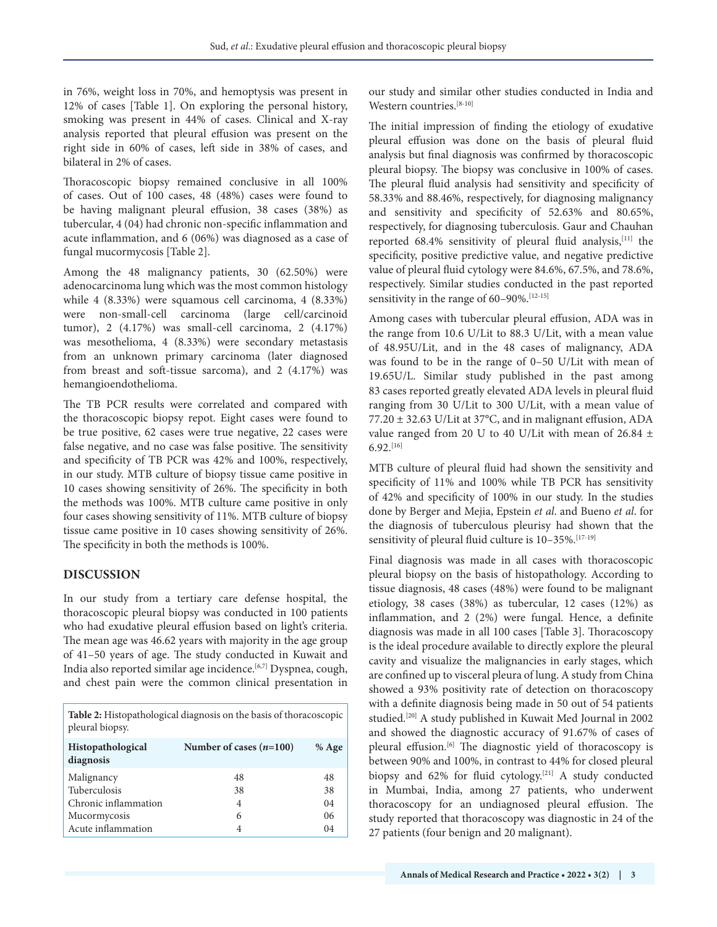in 76%, weight loss in 70%, and hemoptysis was present in 12% of cases [Table 1]. On exploring the personal history, smoking was present in 44% of cases. Clinical and X-ray analysis reported that pleural effusion was present on the right side in 60% of cases, left side in 38% of cases, and bilateral in 2% of cases.

Thoracoscopic biopsy remained conclusive in all 100% of cases. Out of 100 cases, 48 (48%) cases were found to be having malignant pleural effusion, 38 cases (38%) as tubercular, 4 (04) had chronic non-specific inflammation and acute inflammation, and 6 (06%) was diagnosed as a case of fungal mucormycosis [Table 2].

Among the 48 malignancy patients, 30 (62.50%) were adenocarcinoma lung which was the most common histology while 4 (8.33%) were squamous cell carcinoma, 4 (8.33%) were non-small-cell carcinoma (large cell/carcinoid tumor), 2 (4.17%) was small-cell carcinoma, 2 (4.17%) was mesothelioma, 4 (8.33%) were secondary metastasis from an unknown primary carcinoma (later diagnosed from breast and soft-tissue sarcoma), and 2 (4.17%) was hemangioendothelioma.

The TB PCR results were correlated and compared with the thoracoscopic biopsy repot. Eight cases were found to be true positive, 62 cases were true negative, 22 cases were false negative, and no case was false positive. The sensitivity and specificity of TB PCR was 42% and 100%, respectively, in our study. MTB culture of biopsy tissue came positive in 10 cases showing sensitivity of 26%. The specificity in both the methods was 100%. MTB culture came positive in only four cases showing sensitivity of 11%. MTB culture of biopsy tissue came positive in 10 cases showing sensitivity of 26%. The specificity in both the methods is 100%.

#### **DISCUSSION**

In our study from a tertiary care defense hospital, the thoracoscopic pleural biopsy was conducted in 100 patients who had exudative pleural effusion based on light's criteria. The mean age was 46.62 years with majority in the age group of 41–50 years of age. The study conducted in Kuwait and India also reported similar age incidence.[6,7] Dyspnea, cough, and chest pain were the common clinical presentation in

**Table 2:** Histopathological diagnosis on the basis of thoracoscopic pleural biopsy.

| <b>Histopathological</b><br>diagnosis | Number of cases $(n=100)$ | % Age |
|---------------------------------------|---------------------------|-------|
| Malignancy                            | 48                        | 48    |
| Tuberculosis                          | 38                        | 38    |
| Chronic inflammation                  | 4                         | 04    |
| Mucormycosis                          | 6                         | 06    |
| Acute inflammation                    | 4                         | 04    |

our study and similar other studies conducted in India and Western countries.[8-10]

The initial impression of finding the etiology of exudative pleural effusion was done on the basis of pleural fluid analysis but final diagnosis was confirmed by thoracoscopic pleural biopsy. The biopsy was conclusive in 100% of cases. The pleural fluid analysis had sensitivity and specificity of 58.33% and 88.46%, respectively, for diagnosing malignancy and sensitivity and specificity of 52.63% and 80.65%, respectively, for diagnosing tuberculosis. Gaur and Chauhan reported 68.4% sensitivity of pleural fluid analysis, [11] the specificity, positive predictive value, and negative predictive value of pleural fluid cytology were 84.6%, 67.5%, and 78.6%, respectively. Similar studies conducted in the past reported sensitivity in the range of  $60-90\%$ . [12-15]

Among cases with tubercular pleural effusion, ADA was in the range from 10.6 U/Lit to 88.3 U/Lit, with a mean value of 48.95U/Lit, and in the 48 cases of malignancy, ADA was found to be in the range of 0–50 U/Lit with mean of 19.65U/L. Similar study published in the past among 83 cases reported greatly elevated ADA levels in pleural fluid ranging from 30 U/Lit to 300 U/Lit, with a mean value of 77.20 ± 32.63 U/Lit at 37°C, and in malignant effusion, ADA value ranged from 20 U to 40 U/Lit with mean of 26.84 ±  $6.92$ <sup>[16]</sup>

MTB culture of pleural fluid had shown the sensitivity and specificity of 11% and 100% while TB PCR has sensitivity of 42% and specificity of 100% in our study. In the studies done by Berger and Mejia, Epstein *et al*. and Bueno *et al*. for the diagnosis of tuberculous pleurisy had shown that the sensitivity of pleural fluid culture is 10-35%.<sup>[17-19]</sup>

Final diagnosis was made in all cases with thoracoscopic pleural biopsy on the basis of histopathology. According to tissue diagnosis, 48 cases (48%) were found to be malignant etiology, 38 cases (38%) as tubercular, 12 cases (12%) as inflammation, and 2 (2%) were fungal. Hence, a definite diagnosis was made in all 100 cases [Table 3]. Thoracoscopy is the ideal procedure available to directly explore the pleural cavity and visualize the malignancies in early stages, which are confined up to visceral pleura of lung. A study from China showed a 93% positivity rate of detection on thoracoscopy with a definite diagnosis being made in 50 out of 54 patients studied.[20] A study published in Kuwait Med Journal in 2002 and showed the diagnostic accuracy of 91.67% of cases of pleural effusion.<sup>[6]</sup> The diagnostic yield of thoracoscopy is between 90% and 100%, in contrast to 44% for closed pleural biopsy and 62% for fluid cytology.<sup>[21]</sup> A study conducted in Mumbai, India, among 27 patients, who underwent thoracoscopy for an undiagnosed pleural effusion. The study reported that thoracoscopy was diagnostic in 24 of the 27 patients (four benign and 20 malignant).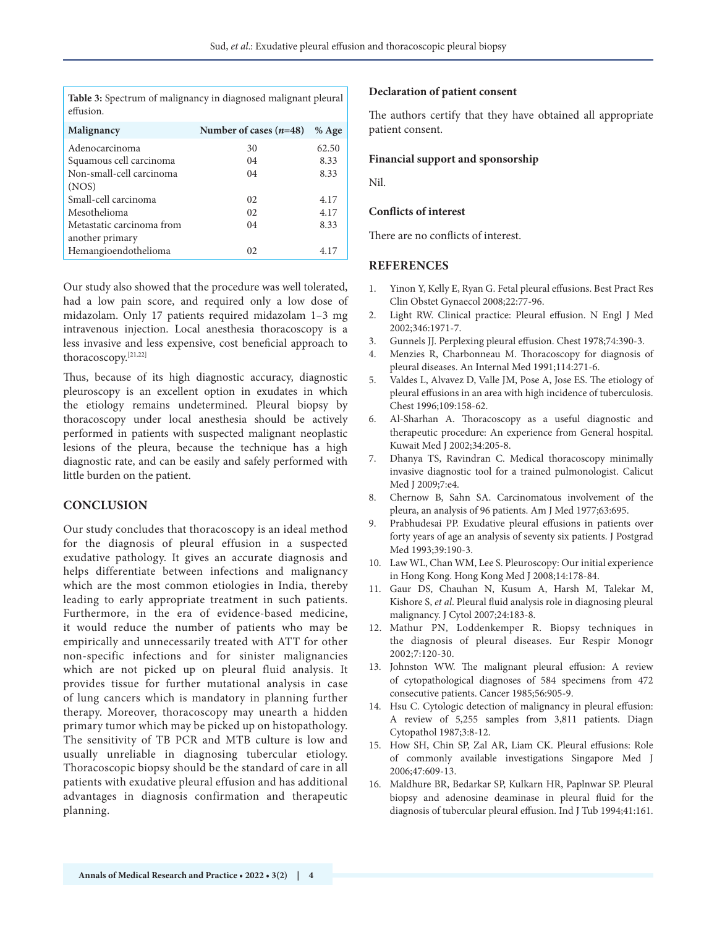**Table 3:** Spectrum of malignancy in diagnosed malignant pleural effusion.

| Malignancy                | Number of cases $(n=48)$ | $%$ Age |
|---------------------------|--------------------------|---------|
| Adenocarcinoma            | 30                       | 62.50   |
| Squamous cell carcinoma   | 04                       | 8.33    |
| Non-small-cell carcinoma  | 04                       | 8.33    |
| (NOS)                     |                          |         |
| Small-cell carcinoma      | 02.                      | 4.17    |
| Mesothelioma              | 02.                      | 4.17    |
| Metastatic carcinoma from | 04                       | 8.33    |
| another primary           |                          |         |
| Hemangioendothelioma      | 02                       | 4.17    |

Our study also showed that the procedure was well tolerated, had a low pain score, and required only a low dose of midazolam. Only 17 patients required midazolam 1–3 mg intravenous injection. Local anesthesia thoracoscopy is a less invasive and less expensive, cost beneficial approach to thoracoscopy.[21,22]

Thus, because of its high diagnostic accuracy, diagnostic pleuroscopy is an excellent option in exudates in which the etiology remains undetermined. Pleural biopsy by thoracoscopy under local anesthesia should be actively performed in patients with suspected malignant neoplastic lesions of the pleura, because the technique has a high diagnostic rate, and can be easily and safely performed with little burden on the patient.

#### **CONCLUSION**

Our study concludes that thoracoscopy is an ideal method for the diagnosis of pleural effusion in a suspected exudative pathology. It gives an accurate diagnosis and helps differentiate between infections and malignancy which are the most common etiologies in India, thereby leading to early appropriate treatment in such patients. Furthermore, in the era of evidence-based medicine, it would reduce the number of patients who may be empirically and unnecessarily treated with ATT for other non-specific infections and for sinister malignancies which are not picked up on pleural fluid analysis. It provides tissue for further mutational analysis in case of lung cancers which is mandatory in planning further therapy. Moreover, thoracoscopy may unearth a hidden primary tumor which may be picked up on histopathology. The sensitivity of TB PCR and MTB culture is low and usually unreliable in diagnosing tubercular etiology. Thoracoscopic biopsy should be the standard of care in all patients with exudative pleural effusion and has additional advantages in diagnosis confirmation and therapeutic planning.

#### **Declaration of patient consent**

The authors certify that they have obtained all appropriate patient consent.

#### **Financial support and sponsorship**

Nil.

#### **Conflicts of interest**

There are no conflicts of interest.

#### **REFERENCES**

- 1. Yinon Y, Kelly E, Ryan G. Fetal pleural effusions. Best Pract Res Clin Obstet Gynaecol 2008;22:77-96.
- 2. Light RW. Clinical practice: Pleural effusion. N Engl J Med 2002;346:1971-7.
- 3. Gunnels JJ. Perplexing pleural effusion. Chest 1978;74:390-3.
- 4. Menzies R, Charbonneau M. Thoracoscopy for diagnosis of pleural diseases. An Internal Med 1991;114:271-6.
- 5. Valdes L, Alvavez D, Valle JM, Pose A, Jose ES. The etiology of pleural effusions in an area with high incidence of tuberculosis. Chest 1996;109:158-62.
- 6. Al-Sharhan A. Thoracoscopy as a useful diagnostic and therapeutic procedure: An experience from General hospital. Kuwait Med J 2002;34:205-8.
- 7. Dhanya TS, Ravindran C. Medical thoracoscopy minimally invasive diagnostic tool for a trained pulmonologist. Calicut Med J 2009;7:e4.
- 8. Chernow B, Sahn SA. Carcinomatous involvement of the pleura, an analysis of 96 patients. Am J Med 1977;63:695.
- 9. Prabhudesai PP. Exudative pleural effusions in patients over forty years of age an analysis of seventy six patients. J Postgrad Med 1993;39:190-3.
- 10. Law WL, Chan WM, Lee S. Pleuroscopy: Our initial experience in Hong Kong. Hong Kong Med J 2008;14:178-84.
- 11. Gaur DS, Chauhan N, Kusum A, Harsh M, Talekar M, Kishore S, *et al*. Pleural fluid analysis role in diagnosing pleural malignancy. J Cytol 2007;24:183-8.
- 12. Mathur PN, Loddenkemper R. Biopsy techniques in the diagnosis of pleural diseases. Eur Respir Monogr 2002;7:120-30.
- 13. Johnston WW. The malignant pleural effusion: A review of cytopathological diagnoses of 584 specimens from 472 consecutive patients. Cancer 1985;56:905-9.
- 14. Hsu C. Cytologic detection of malignancy in pleural effusion: A review of 5,255 samples from 3,811 patients. Diagn Cytopathol 1987;3:8-12.
- 15. How SH, Chin SP, Zal AR, Liam CK. Pleural effusions: Role of commonly available investigations Singapore Med J 2006;47:609-13.
- 16. Maldhure BR, Bedarkar SP, Kulkarn HR, Paplnwar SP. Pleural biopsy and adenosine deaminase in pleural fluid for the diagnosis of tubercular pleural effusion. Ind J Tub 1994;41:161.